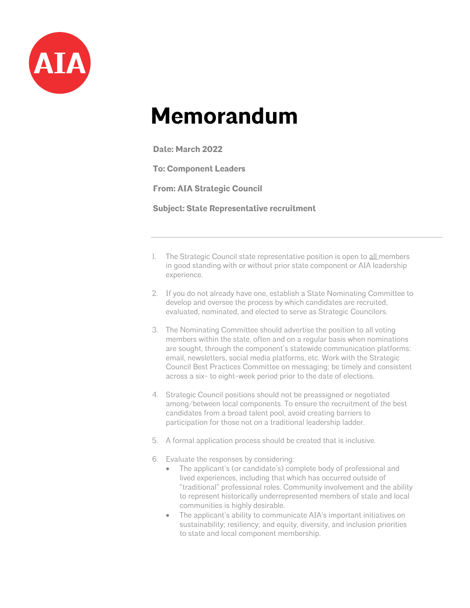

## **Memorandum**

**Date: March 2022**

**To: Component Leaders**

**From: AIA Strategic Council**

**Subject: State Representative recruitment**

- 1. The Strategic Council state representative position is open to all members in good standing with or without prior state component or AIA leadership experience.
- 2. If you do not already have one, establish a State Nominating Committee to develop and oversee the process by which candidates are recruited, evaluated, nominated, and elected to serve as Strategic Councilors.
- 3. The Nominating Committee should advertise the position to all voting members within the state, often and on a regular basis when nominations are sought, through the component's statewide communication platforms: email, newsletters, social media platforms, etc. Work with the Strategic Council Best Practices Committee on messaging; be timely and consistent across a six- to eight-week period prior to the date of elections.
- 4. Strategic Council positions should not be preassigned or negotiated among/between local components. To ensure the recruitment of the best candidates from a broad talent pool, avoid creating barriers to participation for those not on a traditional leadership ladder.
- 5. A formal application process should be created that is inclusive.
- 6. Evaluate the responses by considering:
	- The applicant's (or candidate's) complete body of professional and lived experiences, including that which has occurred outside of "traditional" professional roles. Community involvement and the ability to represent historically underrepresented members of state and local communities is highly desirable.
	- The applicant's ability to communicate AIA's important initiatives on sustainability; resiliency; and equity, diversity, and inclusion priorities to state and local component membership.